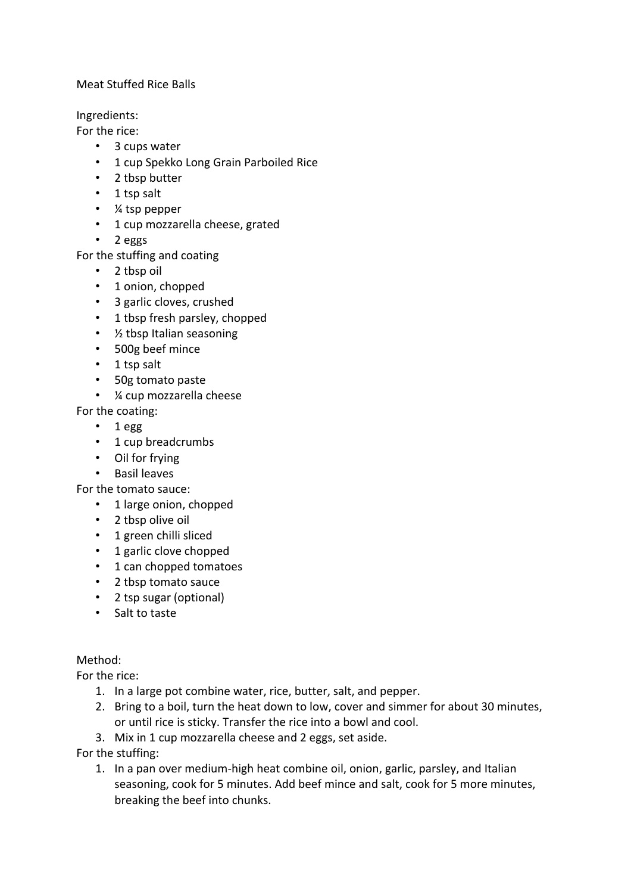## Meat Stuffed Rice Balls

Ingredients:

For the rice:

- 3 cups water
- 1 cup Spekko Long Grain Parboiled Rice
- 2 tbsp butter
- 1 tsp salt
- ¼ tsp pepper
- 1 cup mozzarella cheese, grated
- 2 eggs

For the stuffing and coating

- 2 tbsp oil
- 1 onion, chopped
- 3 garlic cloves, crushed
- 1 tbsp fresh parsley, chopped
- ½ tbsp Italian seasoning
- 500g beef mince
- 1 tsp salt
- 50g tomato paste
- ¼ cup mozzarella cheese

For the coating:

- 1 egg
- 1 cup breadcrumbs
- Oil for frying
- Basil leaves

For the tomato sauce:

- 1 large onion, chopped
- 2 tbsp olive oil
- 1 green chilli sliced
- 1 garlic clove chopped
- 1 can chopped tomatoes
- 2 tbsp tomato sauce
- 2 tsp sugar (optional)
- Salt to taste

Method:

For the rice:

- 1. In a large pot combine water, rice, butter, salt, and pepper.
- 2. Bring to a boil, turn the heat down to low, cover and simmer for about 30 minutes, or until rice is sticky. Transfer the rice into a bowl and cool.
- 3. Mix in 1 cup mozzarella cheese and 2 eggs, set aside.

For the stuffing:

1. In a pan over medium-high heat combine oil, onion, garlic, parsley, and Italian seasoning, cook for 5 minutes. Add beef mince and salt, cook for 5 more minutes, breaking the beef into chunks.